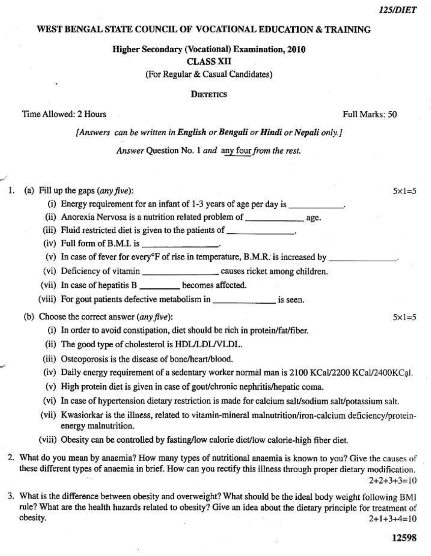$5 \times 1 = 5$ 

 $5 \times 1 = 5$ 

### WEST BENGAL STATE COUNCIL OF VOCATIONAL EDUCATION & TRAINING

# **Higher Secondary (Vocational) Examination, 2010 CLASS XII** (For Regular & Casual Candidates)

#### **DIETETICS**

## Time Allowed: 2 Hours

Full Marks: 50

[Answers can be written in English or Bengali or Hindi or Nepali only.]

Answer Question No. 1 and any four from the rest.

(a) Fill up the gaps  $(\textit{any five})$ :

- (i) Energy requirement for an infant of 1-3 years of age per day is
- (ii) Anorexia Nervosa is a nutrition related problem of age.
- (iii) Fluid restricted diet is given to the patients of \_\_\_\_\_\_\_\_\_\_\_\_\_\_\_\_.
- $(iv)$  Full form of B.M.I. is
- (v) In case of fever for every<sup>o</sup>F of rise in temperature, B.M.R. is increased by
- 
- (vii) In case of hepatitis B \_\_\_\_\_\_\_\_\_ becomes affected.
- 
- (b) Choose the correct answer  $(any five)$ :
	- (i) In order to avoid constipation, diet should be rich in protein/fat/fiber.
	- (ii) The good type of cholesterol is HDL/LDL/VLDL.
	- (iii) Osteoporosis is the disease of bone/heart/blood.
	- (iv) Daily energy requirement of a sedentary worker normal man is 2100 KCal/2200 KCal/2400KCal.
	- (v) High protein diet is given in case of gout/chronic nephritis/hepatic coma.
	- (vi) In case of hypertension dietary restriction is made for calcium salt/sodium salt/potassium salt.
	- (vii) Kwasiorkar is the illness, related to vitamin-mineral malnutrition/iron-calcium deficiency/proteinenergy malnutrition.
	- (viii) Obesity can be controlled by fasting/low calorie diet/low calorie-high fiber diet.
- 2. What do you mean by anaemia? How many types of nutritional anaemia is known to you? Give the causes of these different types of anaemia in brief. How can you rectify this illness through proper dietary modification.  $2+2+3+3=10$
- 3. What is the difference between obesity and overweight? What should be the ideal body weight following BMI rule? What are the health hazards related to obesity? Give an idea about the dietary principle for treatment of obesity.  $2+1+3+4=10$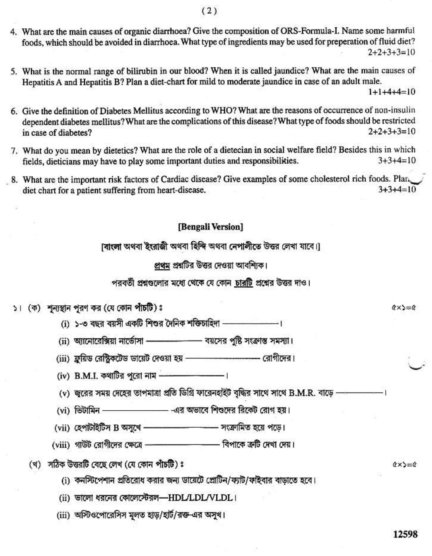- 4. What are the main causes of organic diarrhoea? Give the composition of ORS-Formula-I. Name some harmful foods, which should be avoided in diarrhoea. What type of ingredients may be used for preperation of fluid diet?  $2+2+3+3=10$
- 5. What is the normal range of bilirubin in our blood? When it is called jaundice? What are the main causes of Hepatitis A and Hepatitis B? Plan a diet-chart for mild to moderate jaundice in case of an adult male.

 $1+1+4+4=10$ 

- 6. Give the definition of Diabetes Mellitus according to WHO? What are the reasons of occurrence of non-insulin dependent diabetes mellitus? What are the complications of this disease? What type of foods should be restricted  $2+2+3+3=10$ in case of diabetes?
- 7. What do you mean by dietetics? What are the role of a dietecian in social welfare field? Besides this in which  $3+3+4=10$ fields, dieticians may have to play some important duties and responsibilities.
- 8. What are the important risk factors of Cardiac disease? Give examples of some cholesterol rich foods. Plan  $3+3+4=10$ diet chart for a patient suffering from heart-disease.

## [Bengali Version]

াবাংলা অথবা ইংরাজী অথবা হিন্দি অথবা নেপালীতে উত্তর লেখা যাবে।।

প্রথম প্রশ্নটির উত্তর দেওয়া আবশ্যিক।

পরবর্তী প্রশ্নগুলোর মধ্যে থেকে যে কোন চারটি প্রশ্নের উত্তর দাও।

- ১। (ক) শুন্যস্থান পুরণ কর (যে কোন পাঁচটি) ঃ
	- (i) ১-৩ বছর বয়সী একটি শিশুর দৈনিক শক্তিচাহিদা –––––––––––––।
	- (ii) অ্যানোরেক্সিয়া নার্ডোসা - - - - বয়সের পুষ্টি সংক্রান্ত সমস্যা।
	- (iii) ফ্রুয়িড রেস্ট্রিকটেড ডায়েট দেওয়া হয় —————————— রোগীদের।
	- (iv) B.M.I. কথাটির পুরো নাম - - - - - -
	- (v) জুরের সময় দেহের তাপমাত্রা প্রতি ডিগ্রি ফারেনহাইট বৃদ্ধির সাথে সাথে B.M.R. বাড়ে ---------
	-
	- (vii) হেপাটাইটিস B অসুখে - - - - - সংক্রামিত হয়ে পডে।
	- (viii) গাউট রোগীদের ক্ষেত্রে —————————— বিপাকে ত্রুটি দেখা দেয়।
	- (খ) সঠিক উত্তরটি বেছে লেখ (যে কোন পাঁচটি) ঃ

(i) কনস্টিপেশান প্রতিরোধ করার জন্য ডায়েটে প্রোটিন/ফ্যাট/ফাইবার বাড়াতে হবে।

(ii) ভালো ধরনের কোলেস্টেরল-HDL/LDL/VLDL ।

(iii) অস্টিওপোরেসিস মূলত হাড়/হার্ট/রক্ত-এর অসুখ।

 $(x) = 0$ 

 $\alpha \times \alpha = \alpha$